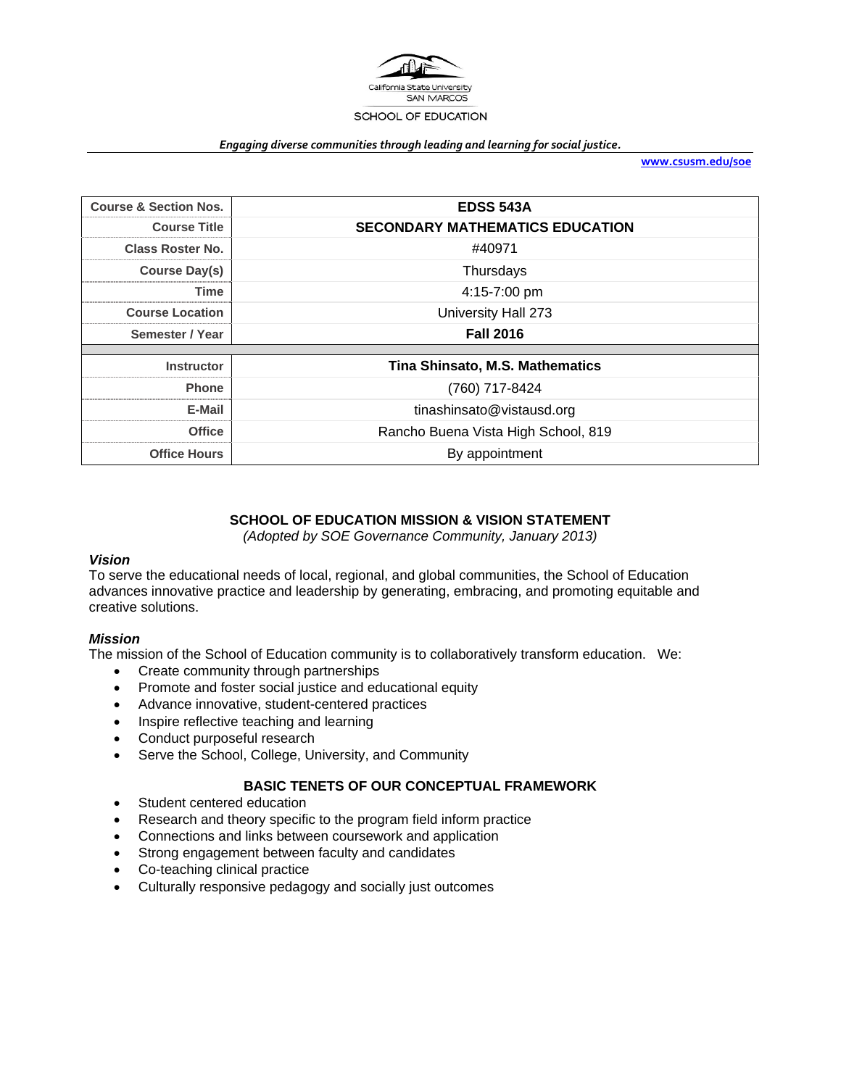

#### *Engaging diverse communities through leading and learning for social justice.*

**www.csusm.edu/soe**

| <b>Course &amp; Section Nos.</b> | <b>EDSS 543A</b>                       |  |  |  |
|----------------------------------|----------------------------------------|--|--|--|
| <b>Course Title</b>              | <b>SECONDARY MATHEMATICS EDUCATION</b> |  |  |  |
| <b>Class Roster No.</b>          | #40971                                 |  |  |  |
| Course Day(s)                    | Thursdays                              |  |  |  |
| <b>Time</b>                      | 4:15-7:00 pm                           |  |  |  |
| <b>Course Location</b>           | University Hall 273                    |  |  |  |
| Semester / Year                  | <b>Fall 2016</b>                       |  |  |  |
|                                  |                                        |  |  |  |
| <b>Instructor</b>                | Tina Shinsato, M.S. Mathematics        |  |  |  |
| <b>Phone</b>                     | (760) 717-8424                         |  |  |  |
| E-Mail                           | tinashinsato@vistausd.org              |  |  |  |
| <b>Office</b>                    | Rancho Buena Vista High School, 819    |  |  |  |
| <b>Office Hours</b>              | By appointment                         |  |  |  |

## **SCHOOL OF EDUCATION MISSION & VISION STATEMENT**

*(Adopted by SOE Governance Community, January 2013)* 

### *Vision*

To serve the educational needs of local, regional, and global communities, the School of Education advances innovative practice and leadership by generating, embracing, and promoting equitable and creative solutions.

## *Mission*

The mission of the School of Education community is to collaboratively transform education. We:

- Create community through partnerships
- Promote and foster social justice and educational equity
- Advance innovative, student-centered practices
- Inspire reflective teaching and learning
- Conduct purposeful research
- Serve the School, College, University, and Community

## **BASIC TENETS OF OUR CONCEPTUAL FRAMEWORK**

- Student centered education
- Research and theory specific to the program field inform practice
- Connections and links between coursework and application
- Strong engagement between faculty and candidates
- Co-teaching clinical practice
- Culturally responsive pedagogy and socially just outcomes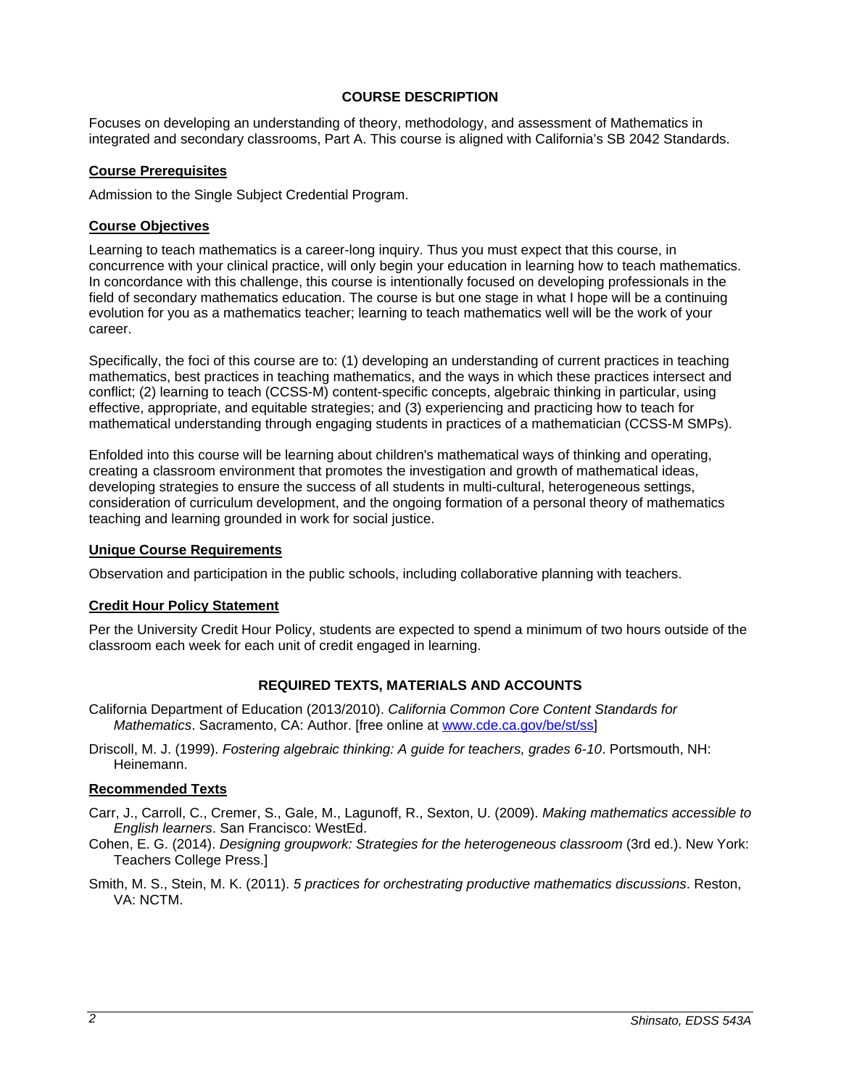## **COURSE DESCRIPTION**

Focuses on developing an understanding of theory, methodology, and assessment of Mathematics in integrated and secondary classrooms, Part A. This course is aligned with California's SB 2042 Standards.

## **Course Prerequisites**

Admission to the Single Subject Credential Program.

## **Course Objectives**

Learning to teach mathematics is a career-long inquiry. Thus you must expect that this course, in concurrence with your clinical practice, will only begin your education in learning how to teach mathematics. In concordance with this challenge, this course is intentionally focused on developing professionals in the field of secondary mathematics education. The course is but one stage in what I hope will be a continuing evolution for you as a mathematics teacher; learning to teach mathematics well will be the work of your career.

Specifically, the foci of this course are to: (1) developing an understanding of current practices in teaching mathematics, best practices in teaching mathematics, and the ways in which these practices intersect and conflict; (2) learning to teach (CCSS-M) content-specific concepts, algebraic thinking in particular, using effective, appropriate, and equitable strategies; and (3) experiencing and practicing how to teach for mathematical understanding through engaging students in practices of a mathematician (CCSS-M SMPs).

Enfolded into this course will be learning about children's mathematical ways of thinking and operating, creating a classroom environment that promotes the investigation and growth of mathematical ideas, developing strategies to ensure the success of all students in multi-cultural, heterogeneous settings, consideration of curriculum development, and the ongoing formation of a personal theory of mathematics teaching and learning grounded in work for social justice.

### **Unique Course Requirements**

Observation and participation in the public schools, including collaborative planning with teachers.

## **Credit Hour Policy Statement**

Per the University Credit Hour Policy, students are expected to spend a minimum of two hours outside of the classroom each week for each unit of credit engaged in learning.

## **REQUIRED TEXTS, MATERIALS AND ACCOUNTS**

- California Department of Education (2013/2010). *California Common Core Content Standards for Mathematics*. Sacramento, CA: Author. [free online at www.cde.ca.gov/be/st/ss]
- Driscoll, M. J. (1999). *Fostering algebraic thinking: A guide for teachers, grades 6-10*. Portsmouth, NH: Heinemann.

## **Recommended Texts**

- Carr, J., Carroll, C., Cremer, S., Gale, M., Lagunoff, R., Sexton, U. (2009). *Making mathematics accessible to English learners*. San Francisco: WestEd.
- Cohen, E. G. (2014). *Designing groupwork: Strategies for the heterogeneous classroom* (3rd ed.). New York: Teachers College Press.]
- Smith, M. S., Stein, M. K. (2011). *5 practices for orchestrating productive mathematics discussions*. Reston, VA: NCTM.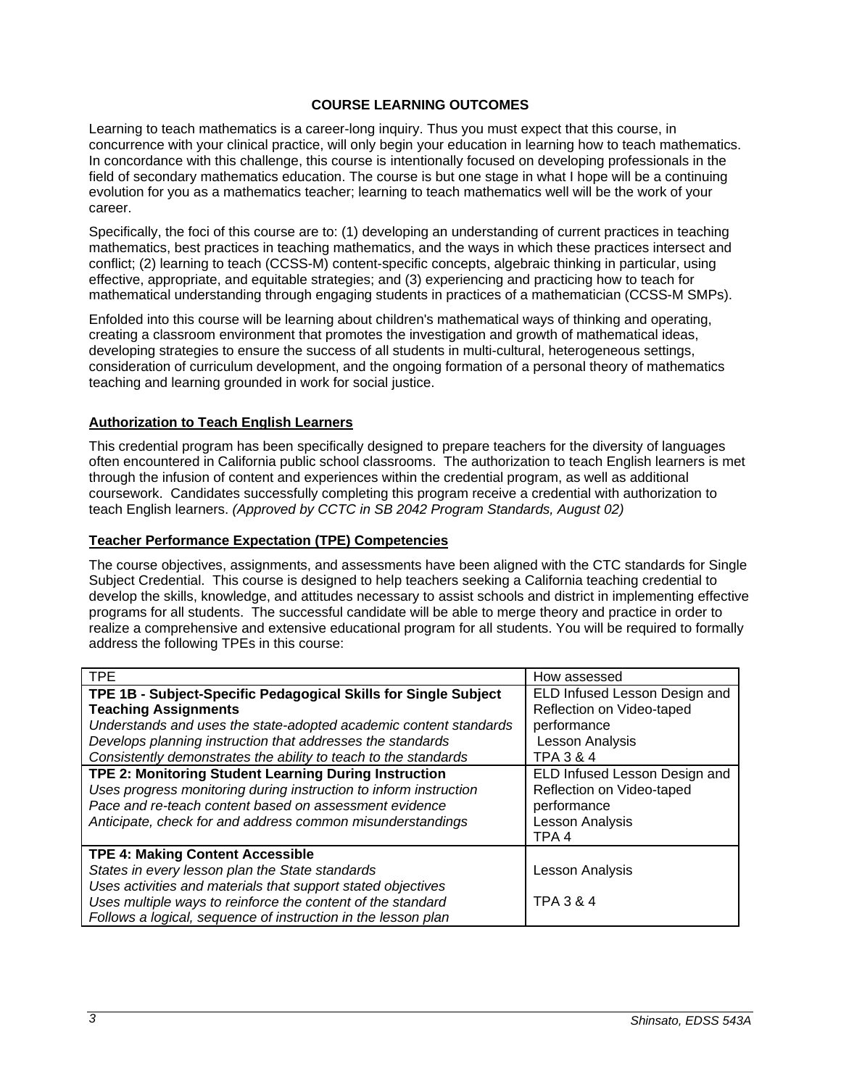## **COURSE LEARNING OUTCOMES**

Learning to teach mathematics is a career-long inquiry. Thus you must expect that this course, in concurrence with your clinical practice, will only begin your education in learning how to teach mathematics. In concordance with this challenge, this course is intentionally focused on developing professionals in the field of secondary mathematics education. The course is but one stage in what I hope will be a continuing evolution for you as a mathematics teacher; learning to teach mathematics well will be the work of your career.

Specifically, the foci of this course are to: (1) developing an understanding of current practices in teaching mathematics, best practices in teaching mathematics, and the ways in which these practices intersect and conflict; (2) learning to teach (CCSS-M) content-specific concepts, algebraic thinking in particular, using effective, appropriate, and equitable strategies; and (3) experiencing and practicing how to teach for mathematical understanding through engaging students in practices of a mathematician (CCSS-M SMPs).

Enfolded into this course will be learning about children's mathematical ways of thinking and operating, creating a classroom environment that promotes the investigation and growth of mathematical ideas, developing strategies to ensure the success of all students in multi-cultural, heterogeneous settings, consideration of curriculum development, and the ongoing formation of a personal theory of mathematics teaching and learning grounded in work for social justice.

## **Authorization to Teach English Learners**

This credential program has been specifically designed to prepare teachers for the diversity of languages often encountered in California public school classrooms. The authorization to teach English learners is met through the infusion of content and experiences within the credential program, as well as additional coursework. Candidates successfully completing this program receive a credential with authorization to teach English learners. *(Approved by CCTC in SB 2042 Program Standards, August 02)*

### **Teacher Performance Expectation (TPE) Competencies**

The course objectives, assignments, and assessments have been aligned with the CTC standards for Single Subject Credential. This course is designed to help teachers seeking a California teaching credential to develop the skills, knowledge, and attitudes necessary to assist schools and district in implementing effective programs for all students. The successful candidate will be able to merge theory and practice in order to realize a comprehensive and extensive educational program for all students. You will be required to formally address the following TPEs in this course:

| <b>TPE</b>                                                        | How assessed                  |
|-------------------------------------------------------------------|-------------------------------|
| TPE 1B - Subject-Specific Pedagogical Skills for Single Subject   | ELD Infused Lesson Design and |
| <b>Teaching Assignments</b>                                       | Reflection on Video-taped     |
| Understands and uses the state-adopted academic content standards | performance                   |
| Develops planning instruction that addresses the standards        | Lesson Analysis               |
| Consistently demonstrates the ability to teach to the standards   | TPA 3 & 4                     |
| TPE 2: Monitoring Student Learning During Instruction             | ELD Infused Lesson Design and |
| Uses progress monitoring during instruction to inform instruction | Reflection on Video-taped     |
| Pace and re-teach content based on assessment evidence            | performance                   |
| Anticipate, check for and address common misunderstandings        | Lesson Analysis               |
|                                                                   | TPA <sub>4</sub>              |
| <b>TPE 4: Making Content Accessible</b>                           |                               |
| States in every lesson plan the State standards                   | Lesson Analysis               |
| Uses activities and materials that support stated objectives      |                               |
| Uses multiple ways to reinforce the content of the standard       | <b>TPA 3 &amp; 4</b>          |
| Follows a logical, sequence of instruction in the lesson plan     |                               |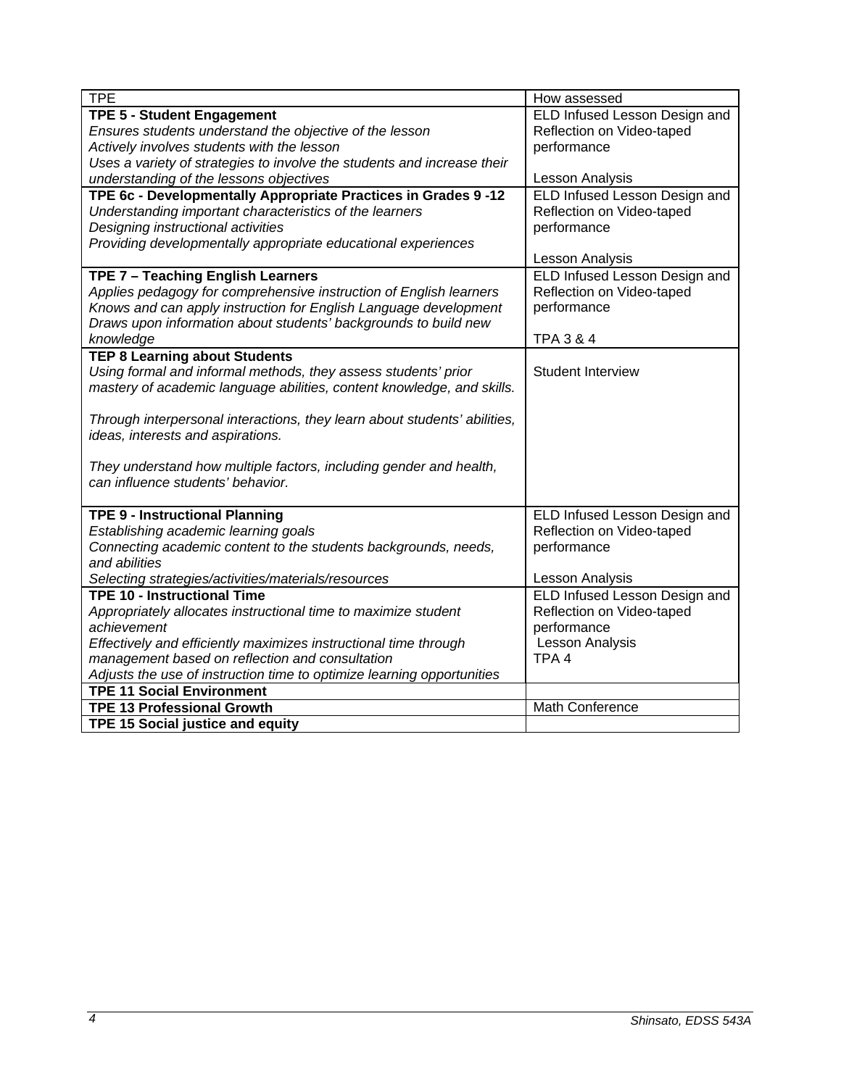| <b>TPE</b>                                                                | How assessed                         |
|---------------------------------------------------------------------------|--------------------------------------|
| <b>TPE 5 - Student Engagement</b>                                         | ELD Infused Lesson Design and        |
| Ensures students understand the objective of the lesson                   | Reflection on Video-taped            |
| Actively involves students with the lesson                                | performance                          |
| Uses a variety of strategies to involve the students and increase their   |                                      |
| understanding of the lessons objectives                                   | Lesson Analysis                      |
| TPE 6c - Developmentally Appropriate Practices in Grades 9-12             | ELD Infused Lesson Design and        |
| Understanding important characteristics of the learners                   | Reflection on Video-taped            |
| Designing instructional activities                                        | performance                          |
| Providing developmentally appropriate educational experiences             |                                      |
|                                                                           | Lesson Analysis                      |
| TPE 7 - Teaching English Learners                                         | ELD Infused Lesson Design and        |
| Applies pedagogy for comprehensive instruction of English learners        | Reflection on Video-taped            |
| Knows and can apply instruction for English Language development          | performance                          |
| Draws upon information about students' backgrounds to build new           |                                      |
| knowledge                                                                 | <b>TPA 3 &amp; 4</b>                 |
| <b>TEP 8 Learning about Students</b>                                      |                                      |
| Using formal and informal methods, they assess students' prior            | <b>Student Interview</b>             |
| mastery of academic language abilities, content knowledge, and skills.    |                                      |
|                                                                           |                                      |
| Through interpersonal interactions, they learn about students' abilities, |                                      |
| ideas, interests and aspirations.                                         |                                      |
|                                                                           |                                      |
| They understand how multiple factors, including gender and health,        |                                      |
| can influence students' behavior.                                         |                                      |
|                                                                           |                                      |
| <b>TPE 9 - Instructional Planning</b>                                     | ELD Infused Lesson Design and        |
| Establishing academic learning goals                                      | Reflection on Video-taped            |
| Connecting academic content to the students backgrounds, needs,           | performance                          |
| and abilities                                                             |                                      |
| Selecting strategies/activities/materials/resources                       | Lesson Analysis                      |
| <b>TPE 10 - Instructional Time</b>                                        | <b>ELD Infused Lesson Design and</b> |
| Appropriately allocates instructional time to maximize student            | Reflection on Video-taped            |
| achievement                                                               | performance                          |
| Effectively and efficiently maximizes instructional time through          | Lesson Analysis                      |
| management based on reflection and consultation                           | TPA <sub>4</sub>                     |
| Adjusts the use of instruction time to optimize learning opportunities    |                                      |
| <b>TPE 11 Social Environment</b>                                          |                                      |
| <b>TPE 13 Professional Growth</b>                                         | <b>Math Conference</b>               |
| <b>TPE 15 Social justice and equity</b>                                   |                                      |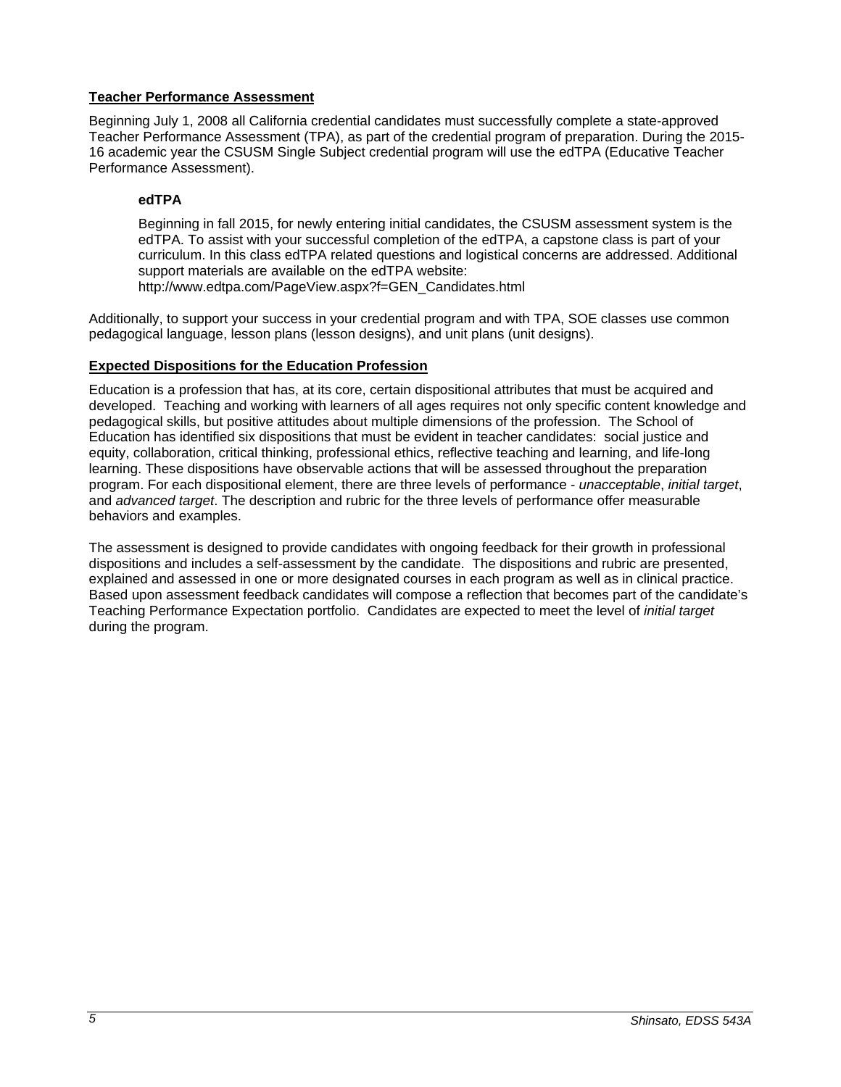## **Teacher Performance Assessment**

Beginning July 1, 2008 all California credential candidates must successfully complete a state-approved Teacher Performance Assessment (TPA), as part of the credential program of preparation. During the 2015- 16 academic year the CSUSM Single Subject credential program will use the edTPA (Educative Teacher Performance Assessment).

# **edTPA**

Beginning in fall 2015, for newly entering initial candidates, the CSUSM assessment system is the edTPA. To assist with your successful completion of the edTPA, a capstone class is part of your curriculum. In this class edTPA related questions and logistical concerns are addressed. Additional support materials are available on the edTPA website: http://www.edtpa.com/PageView.aspx?f=GEN\_Candidates.html

Additionally, to support your success in your credential program and with TPA, SOE classes use common

pedagogical language, lesson plans (lesson designs), and unit plans (unit designs).

# **Expected Dispositions for the Education Profession**

Education is a profession that has, at its core, certain dispositional attributes that must be acquired and developed. Teaching and working with learners of all ages requires not only specific content knowledge and pedagogical skills, but positive attitudes about multiple dimensions of the profession. The School of Education has identified six dispositions that must be evident in teacher candidates: social justice and equity, collaboration, critical thinking, professional ethics, reflective teaching and learning, and life-long learning. These dispositions have observable actions that will be assessed throughout the preparation program. For each dispositional element, there are three levels of performance - *unacceptable*, *initial target*, and *advanced target*. The description and rubric for the three levels of performance offer measurable behaviors and examples.

The assessment is designed to provide candidates with ongoing feedback for their growth in professional dispositions and includes a self-assessment by the candidate. The dispositions and rubric are presented, explained and assessed in one or more designated courses in each program as well as in clinical practice. Based upon assessment feedback candidates will compose a reflection that becomes part of the candidate's Teaching Performance Expectation portfolio. Candidates are expected to meet the level of *initial target* during the program.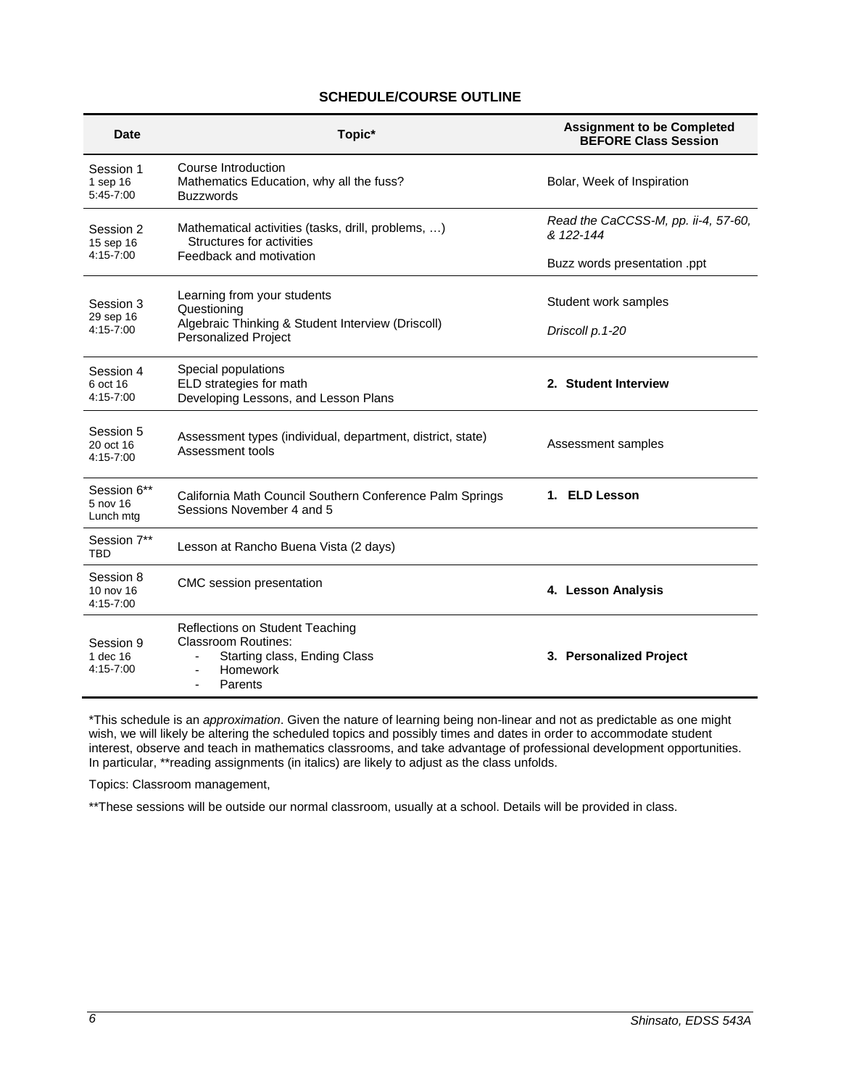## **SCHEDULE/COURSE OUTLINE**

| Topic*                                                                                                                                | <b>Assignment to be Completed</b><br><b>BEFORE Class Session</b> |
|---------------------------------------------------------------------------------------------------------------------------------------|------------------------------------------------------------------|
| Course Introduction<br>Mathematics Education, why all the fuss?<br><b>Buzzwords</b>                                                   | Bolar, Week of Inspiration                                       |
| Mathematical activities (tasks, drill, problems, )<br>Structures for activities<br>Feedback and motivation                            | Read the CaCCSS-M, pp. ii-4, 57-60,<br>& 122-144                 |
|                                                                                                                                       | Buzz words presentation .ppt                                     |
| Learning from your students<br>Questioning<br>Algebraic Thinking & Student Interview (Driscoll)<br><b>Personalized Project</b>        | Student work samples                                             |
|                                                                                                                                       | Driscoll p.1-20                                                  |
| Special populations<br>ELD strategies for math                                                                                        | 2. Student Interview                                             |
|                                                                                                                                       |                                                                  |
| Assessment types (individual, department, district, state)<br>Assessment tools                                                        | Assessment samples                                               |
| California Math Council Southern Conference Palm Springs<br>Sessions November 4 and 5                                                 | 1. ELD Lesson                                                    |
| Lesson at Rancho Buena Vista (2 days)                                                                                                 |                                                                  |
| CMC session presentation                                                                                                              | 4. Lesson Analysis                                               |
| Reflections on Student Teaching<br><b>Classroom Routines:</b><br>Starting class, Ending Class<br>Homework<br>$\overline{\phantom{0}}$ | 3. Personalized Project                                          |
|                                                                                                                                       | Developing Lessons, and Lesson Plans<br>Parents                  |

\*This schedule is an *approximation*. Given the nature of learning being non-linear and not as predictable as one might wish, we will likely be altering the scheduled topics and possibly times and dates in order to accommodate student interest, observe and teach in mathematics classrooms, and take advantage of professional development opportunities. In particular, \*\*reading assignments (in italics) are likely to adjust as the class unfolds.

Topics: Classroom management,

\*\*These sessions will be outside our normal classroom, usually at a school. Details will be provided in class.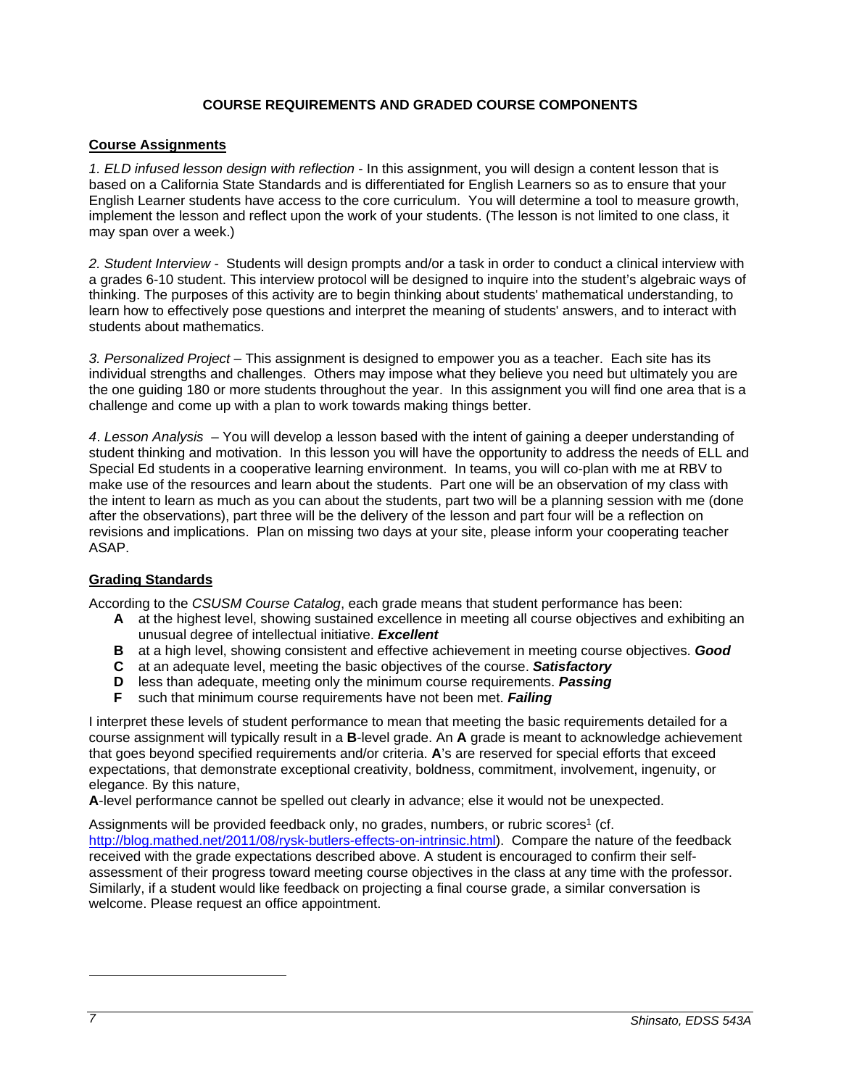## **COURSE REQUIREMENTS AND GRADED COURSE COMPONENTS**

### **Course Assignments**

*1. ELD infused lesson design with reflection* - In this assignment, you will design a content lesson that is based on a California State Standards and is differentiated for English Learners so as to ensure that your English Learner students have access to the core curriculum. You will determine a tool to measure growth, implement the lesson and reflect upon the work of your students. (The lesson is not limited to one class, it may span over a week.)

*2. Student Interview -* Students will design prompts and/or a task in order to conduct a clinical interview with a grades 6-10 student. This interview protocol will be designed to inquire into the student's algebraic ways of thinking. The purposes of this activity are to begin thinking about students' mathematical understanding, to learn how to effectively pose questions and interpret the meaning of students' answers, and to interact with students about mathematics.

*3. Personalized Project* – This assignment is designed to empower you as a teacher. Each site has its individual strengths and challenges. Others may impose what they believe you need but ultimately you are the one guiding 180 or more students throughout the year. In this assignment you will find one area that is a challenge and come up with a plan to work towards making things better.

*4*. *Lesson Analysis* – You will develop a lesson based with the intent of gaining a deeper understanding of student thinking and motivation. In this lesson you will have the opportunity to address the needs of ELL and Special Ed students in a cooperative learning environment. In teams, you will co-plan with me at RBV to make use of the resources and learn about the students. Part one will be an observation of my class with the intent to learn as much as you can about the students, part two will be a planning session with me (done after the observations), part three will be the delivery of the lesson and part four will be a reflection on revisions and implications. Plan on missing two days at your site, please inform your cooperating teacher ASAP.

## **Grading Standards**

According to the *CSUSM Course Catalog*, each grade means that student performance has been:

- **A** at the highest level, showing sustained excellence in meeting all course objectives and exhibiting an unusual degree of intellectual initiative. *Excellent*
- **B** at a high level, showing consistent and effective achievement in meeting course objectives. *Good*
- **C** at an adequate level, meeting the basic objectives of the course. *Satisfactory*
- **D** less than adequate, meeting only the minimum course requirements. *Passing*
- **F** such that minimum course requirements have not been met. *Failing*

I interpret these levels of student performance to mean that meeting the basic requirements detailed for a course assignment will typically result in a **B**-level grade. An **A** grade is meant to acknowledge achievement that goes beyond specified requirements and/or criteria. **A**'s are reserved for special efforts that exceed expectations, that demonstrate exceptional creativity, boldness, commitment, involvement, ingenuity, or elegance. By this nature,

**A**-level performance cannot be spelled out clearly in advance; else it would not be unexpected.

Assignments will be provided feedback only, no grades, numbers, or rubric scores<sup>1</sup> (cf. http://blog.mathed.net/2011/08/rysk-butlers-effects-on-intrinsic.html). Compare the nature of the feedback received with the grade expectations described above. A student is encouraged to confirm their selfassessment of their progress toward meeting course objectives in the class at any time with the professor. Similarly, if a student would like feedback on projecting a final course grade, a similar conversation is welcome. Please request an office appointment.

l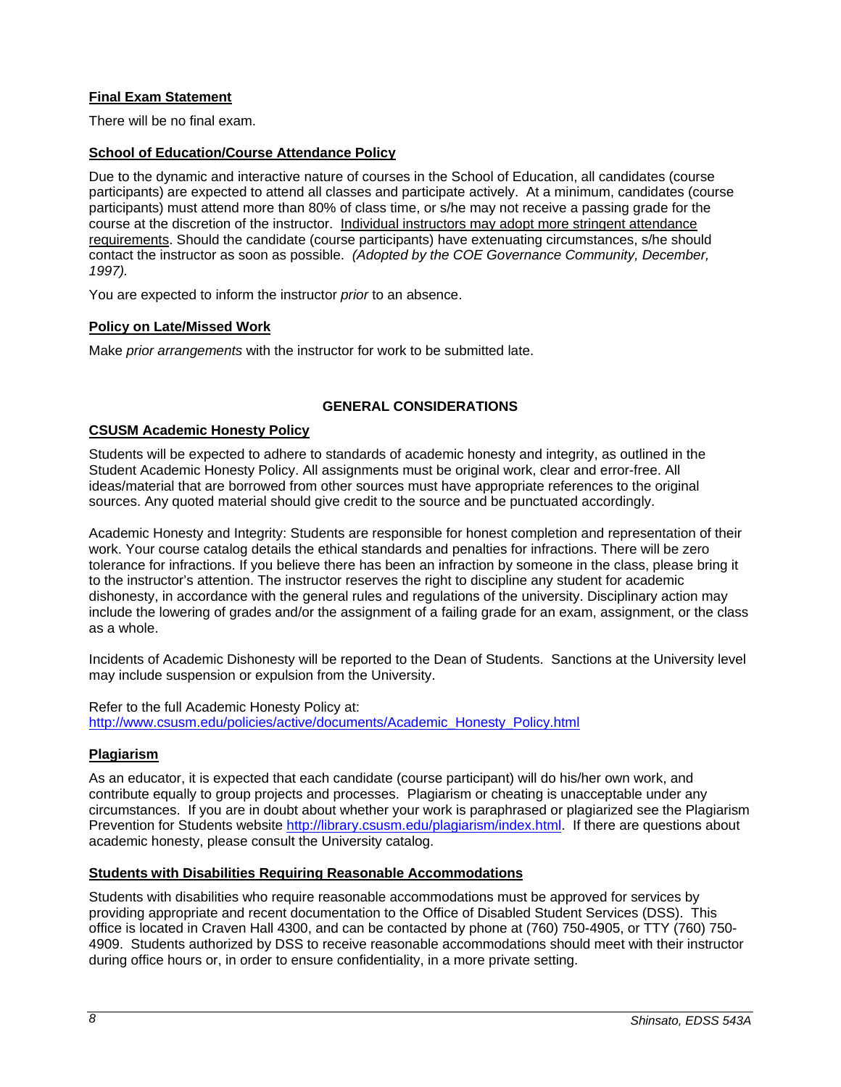# **Final Exam Statement**

There will be no final exam.

## **School of Education/Course Attendance Policy**

Due to the dynamic and interactive nature of courses in the School of Education, all candidates (course participants) are expected to attend all classes and participate actively. At a minimum, candidates (course participants) must attend more than 80% of class time, or s/he may not receive a passing grade for the course at the discretion of the instructor. Individual instructors may adopt more stringent attendance requirements. Should the candidate (course participants) have extenuating circumstances, s/he should contact the instructor as soon as possible. *(Adopted by the COE Governance Community, December, 1997).*

You are expected to inform the instructor *prior* to an absence.

#### **Policy on Late/Missed Work**

Make *prior arrangements* with the instructor for work to be submitted late.

## **GENERAL CONSIDERATIONS**

#### **CSUSM Academic Honesty Policy**

Students will be expected to adhere to standards of academic honesty and integrity, as outlined in the Student Academic Honesty Policy. All assignments must be original work, clear and error-free. All ideas/material that are borrowed from other sources must have appropriate references to the original sources. Any quoted material should give credit to the source and be punctuated accordingly.

Academic Honesty and Integrity: Students are responsible for honest completion and representation of their work. Your course catalog details the ethical standards and penalties for infractions. There will be zero tolerance for infractions. If you believe there has been an infraction by someone in the class, please bring it to the instructor's attention. The instructor reserves the right to discipline any student for academic dishonesty, in accordance with the general rules and regulations of the university. Disciplinary action may include the lowering of grades and/or the assignment of a failing grade for an exam, assignment, or the class as a whole.

Incidents of Academic Dishonesty will be reported to the Dean of Students. Sanctions at the University level may include suspension or expulsion from the University.

Refer to the full Academic Honesty Policy at: http://www.csusm.edu/policies/active/documents/Academic\_Honesty\_Policy.html

## **Plagiarism**

As an educator, it is expected that each candidate (course participant) will do his/her own work, and contribute equally to group projects and processes. Plagiarism or cheating is unacceptable under any circumstances. If you are in doubt about whether your work is paraphrased or plagiarized see the Plagiarism Prevention for Students website http://library.csusm.edu/plagiarism/index.html. If there are questions about academic honesty, please consult the University catalog.

#### **Students with Disabilities Requiring Reasonable Accommodations**

Students with disabilities who require reasonable accommodations must be approved for services by providing appropriate and recent documentation to the Office of Disabled Student Services (DSS). This office is located in Craven Hall 4300, and can be contacted by phone at (760) 750-4905, or TTY (760) 750- 4909. Students authorized by DSS to receive reasonable accommodations should meet with their instructor during office hours or, in order to ensure confidentiality, in a more private setting.